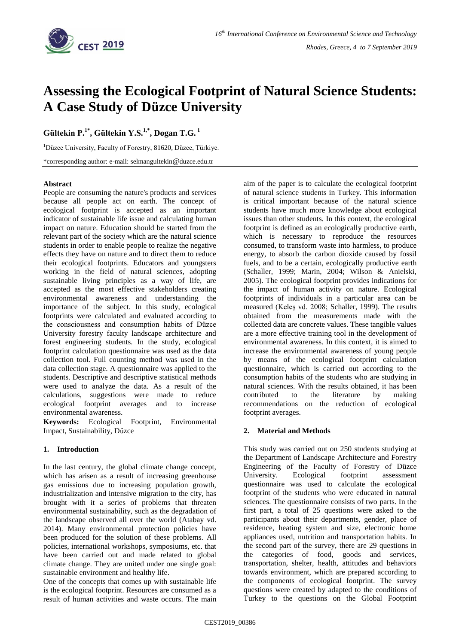

# **Assessing the Ecological Footprint of Natural Science Students: A Case Study of Düzce University**

**Gültekin P.1\* , Gültekin Y.S.1,\* , Dogan T.G. <sup>1</sup>**

<sup>1</sup>Düzce University, Faculty of Forestry, 81620, Düzce, Türkiye. \*corresponding author: e-mail: selmangultekin*@*duzce.edu.tr

### **Abstract**

People are consuming the nature's products and services because all people act on earth. The concept of ecological footprint is accepted as an important indicator of sustainable life issue and calculating human impact on nature. Education should be started from the relevant part of the society which are the natural science students in order to enable people to realize the negative effects they have on nature and to direct them to reduce their ecological footprints. Educators and youngsters working in the field of natural sciences, adopting sustainable living principles as a way of life, are accepted as the most effective stakeholders creating environmental awareness and understanding the importance of the subject. In this study, ecological footprints were calculated and evaluated according to the consciousness and consumption habits of Düzce University forestry faculty landscape architecture and forest engineering students. In the study, ecological footprint calculation questionnaire was used as the data collection tool. Full counting method was used in the data collection stage. A questionnaire was applied to the students. Descriptive and descriptive statistical methods were used to analyze the data. As a result of the calculations, suggestions were made to reduce ecological footprint averages and to increase environmental awareness.

**Keywords:** Ecological Footprint, Environmental Impact, Sustainability, Düzce

# **1. Introduction**

In the last century, the global climate change concept, which has arisen as a result of increasing greenhouse gas emissions due to increasing population growth, industrialization and intensive migration to the city, has brought with it a series of problems that threaten environmental sustainability, such as the degradation of the landscape observed all over the world (Atabay vd. 2014). Many environmental protection policies have been produced for the solution of these problems. All policies, international workshops, symposiums, etc. that have been carried out and made related to global climate change. They are united under one single goal: sustainable environment and healthy life.

One of the concepts that comes up with sustainable life is the ecological footprint. Resources are consumed as a result of human activities and waste occurs. The main

aim of the paper is to calculate the ecological footprint of natural science students in Turkey. This information is critical important because of the natural science students have much more knowledge about ecological issues than other students. In this context, the ecological footprint is defined as an ecologically productive earth, which is necessary to reproduce the resources consumed, to transform waste into harmless, to produce energy, to absorb the carbon dioxide caused by fossil fuels, and to be a certain, ecologically productive earth (Schaller, 1999; Marin, 2004; Wilson & Anielski, 2005). The ecological footprint provides indications for the impact of human activity on nature. Ecological footprints of individuals in a particular area can be measured (Keleş vd. 2008; Schaller, 1999). The results obtained from the measurements made with the collected data are concrete values. These tangible values are a more effective training tool in the development of environmental awareness. In this context, it is aimed to increase the environmental awareness of young people by means of the ecological footprint calculation questionnaire, which is carried out according to the consumption habits of the students who are studying in natural sciences. With the results obtained, it has been contributed to the literature by making recommendations on the reduction of ecological footprint averages.

# **2. Material and Methods**

This study was carried out on 250 students studying at the Department of Landscape Architecture and Forestry Engineering of the Faculty of Forestry of Düzce University. Ecological footprint assessment questionnaire was used to calculate the ecological footprint of the students who were educated in natural sciences. The questionnaire consists of two parts. In the first part, a total of 25 questions were asked to the participants about their departments, gender, place of residence, heating system and size, electronic home appliances used, nutrition and transportation habits. In the second part of the survey, there are 29 questions in the categories of food, goods and services, transportation, shelter, health, attitudes and behaviors towards environment, which are prepared according to the components of ecological footprint. The survey questions were created by adapted to the conditions of Turkey to the questions on the Global Footprint